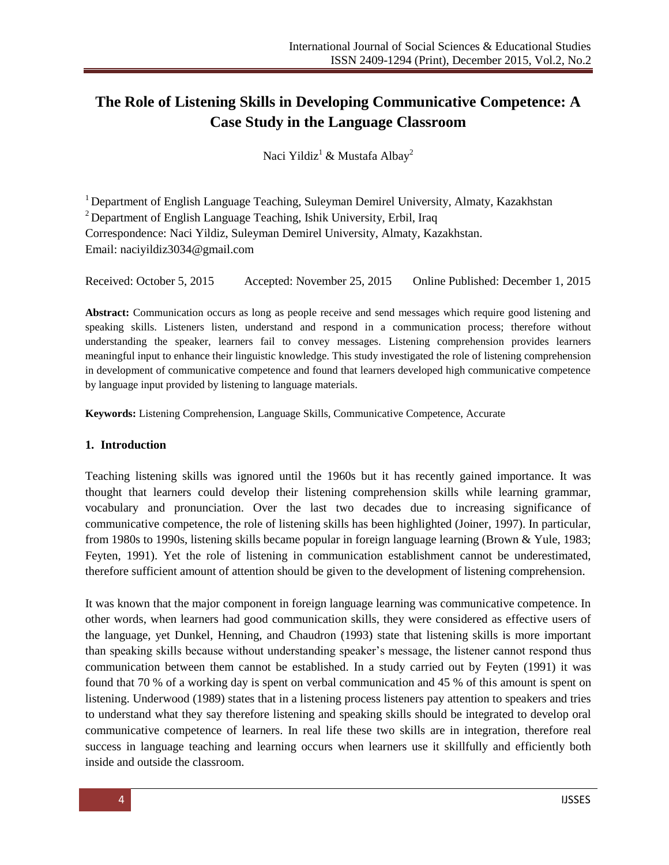# **The Role of Listening Skills in Developing Communicative Competence: A Case Study in the Language Classroom**

Naci Yildiz<sup>1</sup> & Mustafa Albay<sup>2</sup>

<sup>1</sup> Department of English Language Teaching, Suleyman Demirel University, Almaty, Kazakhstan  $2$  Department of English Language Teaching, Ishik University, Erbil, Iraq Correspondence: Naci Yildiz, Suleyman Demirel University, Almaty, Kazakhstan. Email: naciyildiz3034@gmail.com

Received: October 5, 2015 Accepted: November 25, 2015 Online Published: December 1, 2015

**Abstract:** Communication occurs as long as people receive and send messages which require good listening and speaking skills. Listeners listen, understand and respond in a communication process; therefore without understanding the speaker, learners fail to convey messages. Listening comprehension provides learners meaningful input to enhance their linguistic knowledge. This study investigated the role of listening comprehension in development of communicative competence and found that learners developed high communicative competence by language input provided by listening to language materials.

**Keywords:** Listening Comprehension, Language Skills, Communicative Competence, Accurate

#### **1. Introduction**

Teaching listening skills was ignored until the 1960s but it has recently gained importance. It was thought that learners could develop their listening comprehension skills while learning grammar, vocabulary and pronunciation. Over the last two decades due to increasing significance of communicative competence, the role of listening skills has been highlighted (Joiner, 1997). In particular, from 1980s to 1990s, listening skills became popular in foreign language learning (Brown & Yule, 1983; Feyten, 1991). Yet the role of listening in communication establishment cannot be underestimated, therefore sufficient amount of attention should be given to the development of listening comprehension.

It was known that the major component in foreign language learning was communicative competence. In other words, when learners had good communication skills, they were considered as effective users of the language, yet Dunkel, Henning, and Chaudron (1993) state that listening skills is more important than speaking skills because without understanding speaker's message, the listener cannot respond thus communication between them cannot be established. In a study carried out by Feyten (1991) it was found that 70 % of a working day is spent on verbal communication and 45 % of this amount is spent on listening. Underwood (1989) states that in a listening process listeners pay attention to speakers and tries to understand what they say therefore listening and speaking skills should be integrated to develop oral communicative competence of learners. In real life these two skills are in integration, therefore real success in language teaching and learning occurs when learners use it skillfully and efficiently both inside and outside the classroom.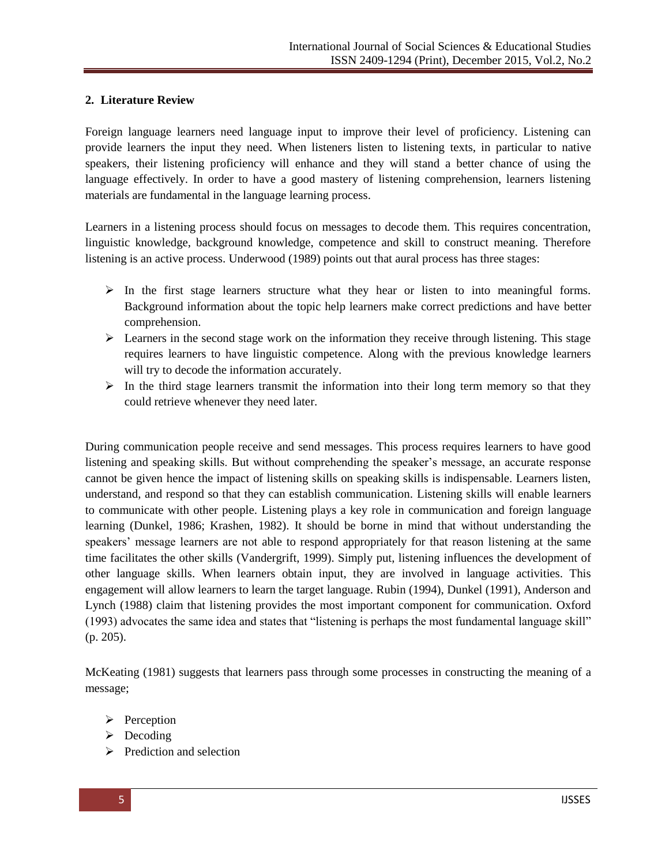### **2. Literature Review**

Foreign language learners need language input to improve their level of proficiency. Listening can provide learners the input they need. When listeners listen to listening texts, in particular to native speakers, their listening proficiency will enhance and they will stand a better chance of using the language effectively. In order to have a good mastery of listening comprehension, learners listening materials are fundamental in the language learning process.

Learners in a listening process should focus on messages to decode them. This requires concentration, linguistic knowledge, background knowledge, competence and skill to construct meaning. Therefore listening is an active process. Underwood (1989) points out that aural process has three stages:

- $\triangleright$  In the first stage learners structure what they hear or listen to into meaningful forms. Background information about the topic help learners make correct predictions and have better comprehension.
- $\triangleright$  Learners in the second stage work on the information they receive through listening. This stage requires learners to have linguistic competence. Along with the previous knowledge learners will try to decode the information accurately.
- $\triangleright$  In the third stage learners transmit the information into their long term memory so that they could retrieve whenever they need later.

During communication people receive and send messages. This process requires learners to have good listening and speaking skills. But without comprehending the speaker's message, an accurate response cannot be given hence the impact of listening skills on speaking skills is indispensable. Learners listen, understand, and respond so that they can establish communication. Listening skills will enable learners to communicate with other people. Listening plays a key role in communication and foreign language learning (Dunkel, 1986; Krashen, 1982). It should be borne in mind that without understanding the speakers' message learners are not able to respond appropriately for that reason listening at the same time facilitates the other skills (Vandergrift, 1999). Simply put, listening influences the development of other language skills. When learners obtain input, they are involved in language activities. This engagement will allow learners to learn the target language. Rubin (1994), Dunkel (1991), Anderson and Lynch (1988) claim that listening provides the most important component for communication. Oxford (1993) advocates the same idea and states that "listening is perhaps the most fundamental language skill" (p. 205).

McKeating (1981) suggests that learners pass through some processes in constructing the meaning of a message;

- $\triangleright$  Perception
- $\triangleright$  Decoding
- $\triangleright$  Prediction and selection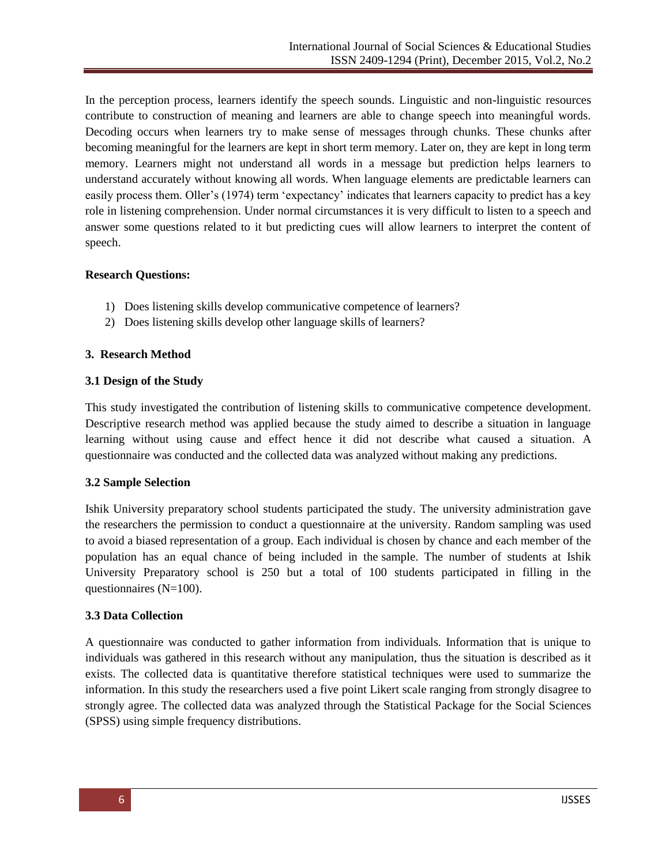In the perception process, learners identify the speech sounds. Linguistic and non-linguistic resources contribute to construction of meaning and learners are able to change speech into meaningful words. Decoding occurs when learners try to make sense of messages through chunks. These chunks after becoming meaningful for the learners are kept in short term memory. Later on, they are kept in long term memory. Learners might not understand all words in a message but prediction helps learners to understand accurately without knowing all words. When language elements are predictable learners can easily process them. Oller's (1974) term 'expectancy' indicates that learners capacity to predict has a key role in listening comprehension. Under normal circumstances it is very difficult to listen to a speech and answer some questions related to it but predicting cues will allow learners to interpret the content of speech.

### **Research Questions:**

- 1) Does listening skills develop communicative competence of learners?
- 2) Does listening skills develop other language skills of learners?

### **3. Research Method**

### **3.1 Design of the Study**

This study investigated the contribution of listening skills to communicative competence development. Descriptive research method was applied because the study aimed to describe a situation in language learning without using cause and effect hence it did not describe what caused a situation. A questionnaire was conducted and the collected data was analyzed without making any predictions.

### **3.2 Sample Selection**

Ishik University preparatory school students participated the study. The university administration gave the researchers the permission to conduct a questionnaire at the university. Random sampling was used to avoid a biased representation of a group. Each individual is chosen by chance and each member of the population has an equal chance of being included in the sample. The number of students at Ishik University Preparatory school is 250 but a total of 100 students participated in filling in the questionnaires (N=100).

### **3.3 Data Collection**

A questionnaire was conducted to gather information from individuals. Information that is unique to individuals was gathered in this research without any manipulation, thus the situation is described as it exists. The collected data is quantitative therefore statistical techniques were used to summarize the information. In this study the researchers used a five point Likert scale ranging from strongly disagree to strongly agree. The collected data was analyzed through the Statistical Package for the Social Sciences (SPSS) using simple frequency distributions.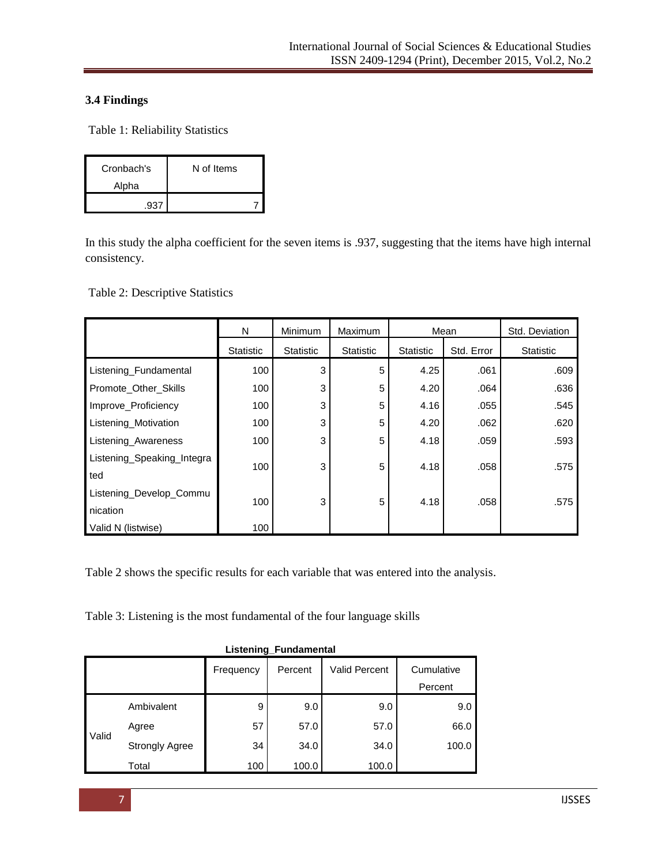# **3.4 Findings**

Table 1: Reliability Statistics

| Cronbach's | N of Items |
|------------|------------|
| Alpha      |            |
|            |            |

In this study the alpha coefficient for the seven items is .937, suggesting that the items have high internal consistency.

Table 2: Descriptive Statistics

|                            | N         | Minimum          | Maximum          |           | Mean       | Std. Deviation |
|----------------------------|-----------|------------------|------------------|-----------|------------|----------------|
|                            | Statistic | <b>Statistic</b> | <b>Statistic</b> | Statistic | Std. Error | Statistic      |
| Listening_Fundamental      | 100       | 3                | 5                | 4.25      | .061       | .609           |
| Promote Other Skills       | 100       | 3                | 5                | 4.20      | .064       | .636           |
| Improve_Proficiency        | 100       | 3                | 5                | 4.16      | .055       | .545           |
| Listening_Motivation       | 100       | 3                | 5                | 4.20      | .062       | .620           |
| Listening_Awareness        | 100       | 3                | 5                | 4.18      | .059       | .593           |
| Listening_Speaking_Integra | 100       | 3                | 5                | 4.18      | .058       | .575           |
| ted                        |           |                  |                  |           |            |                |
| Listening_Develop_Commu    | 100       | 3                | 5                | 4.18      | .058       | .575           |
| nication                   |           |                  |                  |           |            |                |
| Valid N (listwise)         | 100       |                  |                  |           |            |                |

Table 2 shows the specific results for each variable that was entered into the analysis.

Table 3: Listening is the most fundamental of the four language skills

| Listening_Fundamental |                       |           |         |                      |                       |  |  |
|-----------------------|-----------------------|-----------|---------|----------------------|-----------------------|--|--|
|                       |                       | Frequency | Percent | <b>Valid Percent</b> | Cumulative<br>Percent |  |  |
|                       | Ambivalent            | 9         | 9.0     | 9.0                  | 9.0                   |  |  |
| Valid                 | Agree                 | 57        | 57.0    | 57.0                 | 66.0                  |  |  |
|                       | <b>Strongly Agree</b> | 34        | 34.0    | 34.0                 | 100.0                 |  |  |
|                       | Total                 | 100       | 100.0   | 100.0                |                       |  |  |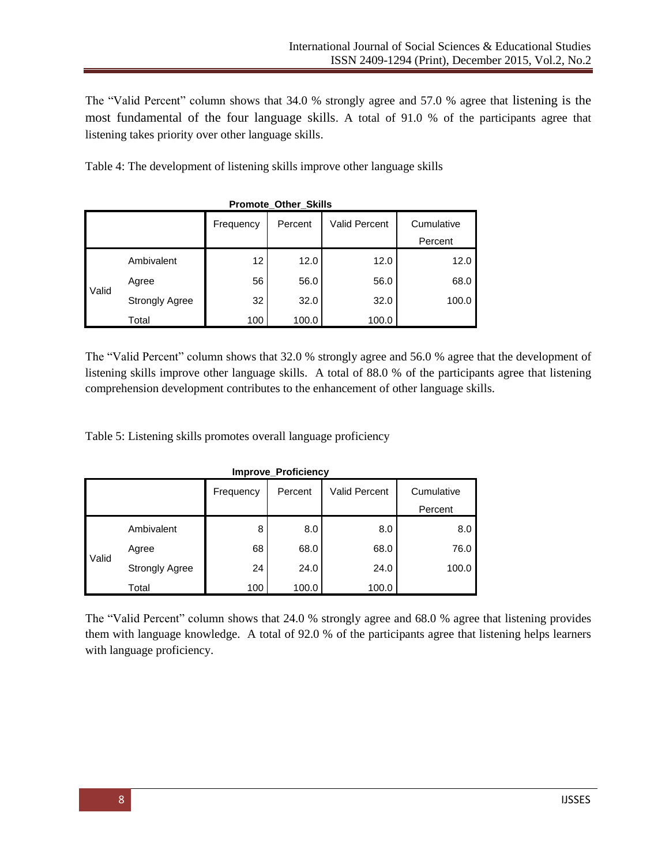The "Valid Percent" column shows that 34.0 % strongly agree and 57.0 % agree that listening is the most fundamental of the four language skills. A total of 91.0 % of the participants agree that listening takes priority over other language skills.

Table 4: The development of listening skills improve other language skills

| <b>Promote Other Skills</b> |                                                                       |     |       |       |       |  |  |
|-----------------------------|-----------------------------------------------------------------------|-----|-------|-------|-------|--|--|
|                             | <b>Valid Percent</b><br>Cumulative<br>Percent<br>Frequency<br>Percent |     |       |       |       |  |  |
| Valid                       | Ambivalent                                                            | 12  | 12.0  | 12.0  | 12.0  |  |  |
|                             | Agree                                                                 | 56  | 56.0  | 56.0  | 68.0  |  |  |
|                             | <b>Strongly Agree</b>                                                 | 32  | 32.0  | 32.0  | 100.0 |  |  |
|                             | Total                                                                 | 100 | 100.0 | 100.0 |       |  |  |

The "Valid Percent" column shows that 32.0 % strongly agree and 56.0 % agree that the development of listening skills improve other language skills. A total of 88.0 % of the participants agree that listening comprehension development contributes to the enhancement of other language skills.

Table 5: Listening skills promotes overall language proficiency

| <b>Improve Proficiency</b> |                       |           |         |                      |                       |  |  |
|----------------------------|-----------------------|-----------|---------|----------------------|-----------------------|--|--|
|                            |                       | Frequency | Percent | <b>Valid Percent</b> | Cumulative<br>Percent |  |  |
|                            | Ambivalent            | 8         | 8.0     | 8.0                  | 8.0                   |  |  |
| Valid                      | Agree                 | 68        | 68.0    | 68.0                 | 76.0                  |  |  |
|                            | <b>Strongly Agree</b> | 24        | 24.0    | 24.0                 | 100.0                 |  |  |
|                            | Total                 | 100       | 100.0   | 100.0                |                       |  |  |

**Improve\_Proficiency**

The "Valid Percent" column shows that 24.0 % strongly agree and 68.0 % agree that listening provides them with language knowledge. A total of 92.0 % of the participants agree that listening helps learners with language proficiency.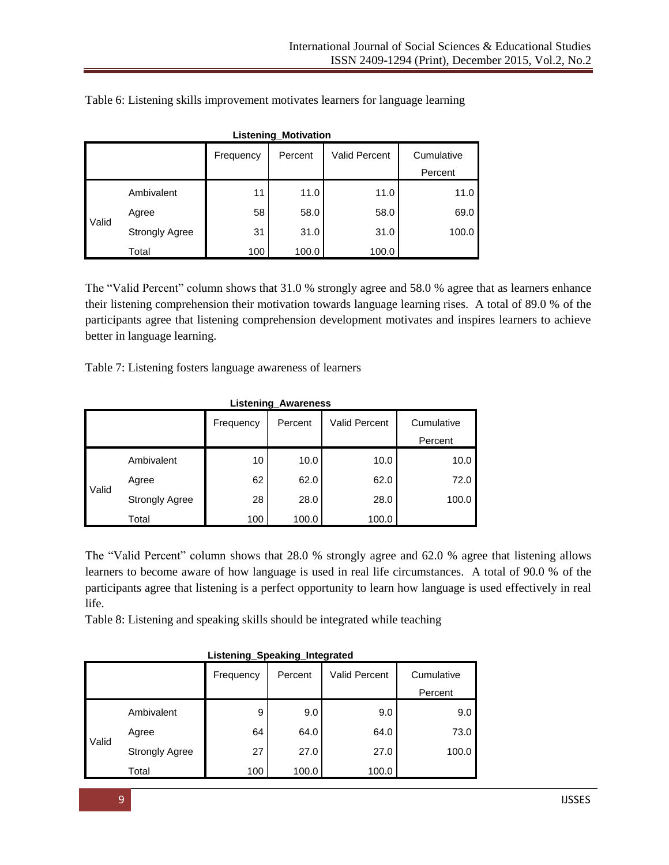| <b>Listening_Motivation</b>                                |                       |     |       |       |         |  |
|------------------------------------------------------------|-----------------------|-----|-------|-------|---------|--|
| <b>Valid Percent</b><br>Cumulative<br>Frequency<br>Percent |                       |     |       |       |         |  |
|                                                            |                       |     |       |       | Percent |  |
| Valid                                                      | Ambivalent            | 11  | 11.0  | 11.0  | 11.0    |  |
|                                                            | Agree                 | 58  | 58.0  | 58.0  | 69.0    |  |
|                                                            | <b>Strongly Agree</b> | 31  | 31.0  | 31.0  | 100.0   |  |
|                                                            | Total                 | 100 | 100.0 | 100.0 |         |  |

Table 6: Listening skills improvement motivates learners for language learning

The "Valid Percent" column shows that 31.0 % strongly agree and 58.0 % agree that as learners enhance their listening comprehension their motivation towards language learning rises. A total of 89.0 % of the participants agree that listening comprehension development motivates and inspires learners to achieve better in language learning.

Table 7: Listening fosters language awareness of learners

| <b>Listening Awareness</b>                                 |                       |     |       |       |         |  |
|------------------------------------------------------------|-----------------------|-----|-------|-------|---------|--|
| <b>Valid Percent</b><br>Cumulative<br>Percent<br>Frequency |                       |     |       |       |         |  |
|                                                            |                       |     |       |       | Percent |  |
| Valid                                                      | Ambivalent            | 10  | 10.0  | 10.0  | 10.0    |  |
|                                                            | Agree                 | 62  | 62.0  | 62.0  | 72.0    |  |
|                                                            | <b>Strongly Agree</b> | 28  | 28.0  | 28.0  | 100.0   |  |
|                                                            | Total                 | 100 | 100.0 | 100.0 |         |  |

The "Valid Percent" column shows that 28.0 % strongly agree and 62.0 % agree that listening allows learners to become aware of how language is used in real life circumstances. A total of 90.0 % of the participants agree that listening is a perfect opportunity to learn how language is used effectively in real life.

Table 8: Listening and speaking skills should be integrated while teaching

| Listening Speaking Integrated |                       |           |         |                      |            |  |
|-------------------------------|-----------------------|-----------|---------|----------------------|------------|--|
|                               |                       | Frequency | Percent | <b>Valid Percent</b> | Cumulative |  |
|                               |                       |           |         |                      | Percent    |  |
| Valid                         | Ambivalent            | 9         | 9.0     | 9.0                  | 9.0        |  |
|                               | Agree                 | 64        | 64.0    | 64.0                 | 73.0       |  |
|                               | <b>Strongly Agree</b> | 27        | 27.0    | 27.0                 | 100.0      |  |
|                               | Total                 | 100       | 100.0   | 100.0                |            |  |

**Listening\_Speaking\_Integrated**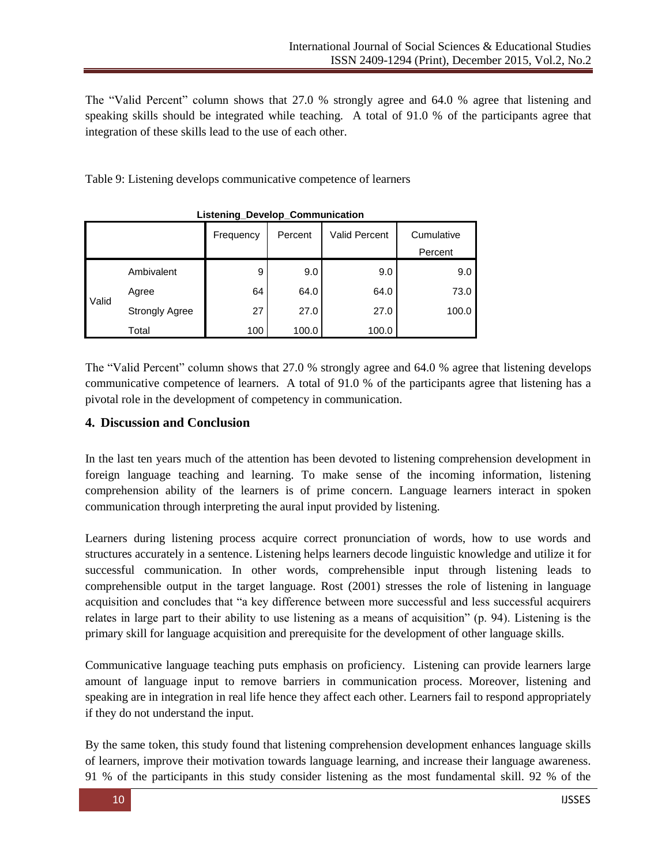The "Valid Percent" column shows that 27.0 % strongly agree and 64.0 % agree that listening and speaking skills should be integrated while teaching. A total of 91.0 % of the participants agree that integration of these skills lead to the use of each other.

Table 9: Listening develops communicative competence of learners

| Listering Develop Communication |                       |           |         |                      |            |  |  |
|---------------------------------|-----------------------|-----------|---------|----------------------|------------|--|--|
|                                 |                       | Frequency | Percent | <b>Valid Percent</b> | Cumulative |  |  |
|                                 |                       |           |         |                      | Percent    |  |  |
|                                 | Ambivalent            | 9         | 9.0     | 9.0                  | 9.0        |  |  |
| Valid                           | Agree                 | 64        | 64.0    | 64.0                 | 73.0       |  |  |
|                                 | <b>Strongly Agree</b> | 27        | 27.0    | 27.0                 | 100.0      |  |  |
|                                 | Total                 | 100       | 100.0   | 100.0                |            |  |  |

**Listening\_Develop\_Communication**

The "Valid Percent" column shows that  $27.0$  % strongly agree and  $64.0$  % agree that listening develops communicative competence of learners. A total of 91.0 % of the participants agree that listening has a pivotal role in the development of competency in communication.

## **4. Discussion and Conclusion**

In the last ten years much of the attention has been devoted to listening comprehension development in foreign language teaching and learning. To make sense of the incoming information, listening comprehension ability of the learners is of prime concern. Language learners interact in spoken communication through interpreting the aural input provided by listening.

Learners during listening process acquire correct pronunciation of words, how to use words and structures accurately in a sentence. Listening helps learners decode linguistic knowledge and utilize it for successful communication. In other words, comprehensible input through listening leads to comprehensible output in the target language. Rost (2001) stresses the role of listening in language acquisition and concludes that "a key difference between more successful and less successful acquirers relates in large part to their ability to use listening as a means of acquisition" (p. 94). Listening is the primary skill for language acquisition and prerequisite for the development of other language skills.

Communicative language teaching puts emphasis on proficiency. Listening can provide learners large amount of language input to remove barriers in communication process. Moreover, listening and speaking are in integration in real life hence they affect each other. Learners fail to respond appropriately if they do not understand the input.

By the same token, this study found that listening comprehension development enhances language skills of learners, improve their motivation towards language learning, and increase their language awareness. 91 % of the participants in this study consider listening as the most fundamental skill. 92 % of the